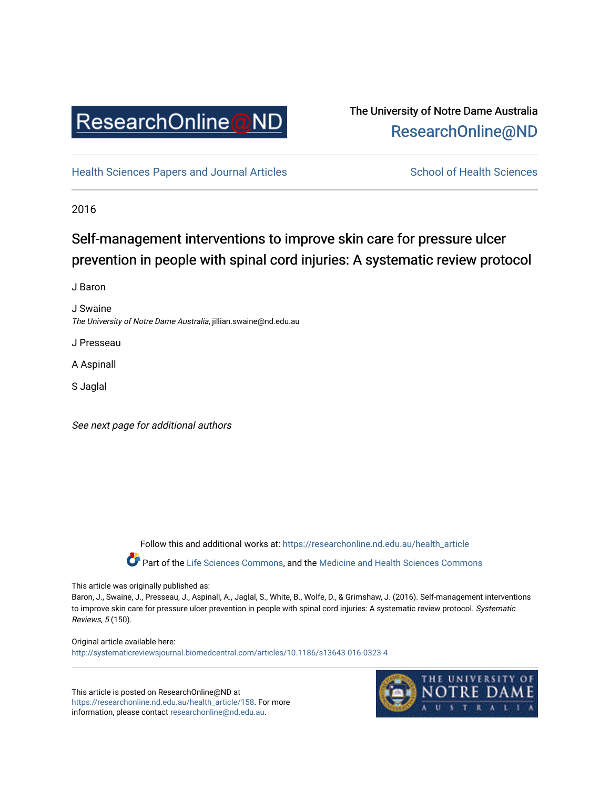

# The University of Notre Dame Australia [ResearchOnline@ND](https://researchonline.nd.edu.au/)

[Health Sciences Papers and Journal Articles](https://researchonline.nd.edu.au/health_article) School of Health Sciences

2016

# Self-management interventions to improve skin care for pressure ulcer prevention in people with spinal cord injuries: A systematic review protocol

J Baron

J Swaine The University of Notre Dame Australia, jillian.swaine@nd.edu.au

J Presseau

A Aspinall

S Jaglal

See next page for additional authors

Follow this and additional works at: [https://researchonline.nd.edu.au/health\\_article](https://researchonline.nd.edu.au/health_article?utm_source=researchonline.nd.edu.au%2Fhealth_article%2F158&utm_medium=PDF&utm_campaign=PDFCoverPages) Part of the [Life Sciences Commons](http://network.bepress.com/hgg/discipline/1016?utm_source=researchonline.nd.edu.au%2Fhealth_article%2F158&utm_medium=PDF&utm_campaign=PDFCoverPages), and the Medicine and Health Sciences Commons

# This article was originally published as:

Baron, J., Swaine, J., Presseau, J., Aspinall, A., Jaglal, S., White, B., Wolfe, D., & Grimshaw, J. (2016). Self-management interventions to improve skin care for pressure ulcer prevention in people with spinal cord injuries: A systematic review protocol. Systematic Reviews, 5 (150).

Original article available here: <http://systematicreviewsjournal.biomedcentral.com/articles/10.1186/s13643-016-0323-4>

This article is posted on ResearchOnline@ND at [https://researchonline.nd.edu.au/health\\_article/158](https://researchonline.nd.edu.au/health_article/158). For more information, please contact [researchonline@nd.edu.au.](mailto:researchonline@nd.edu.au)

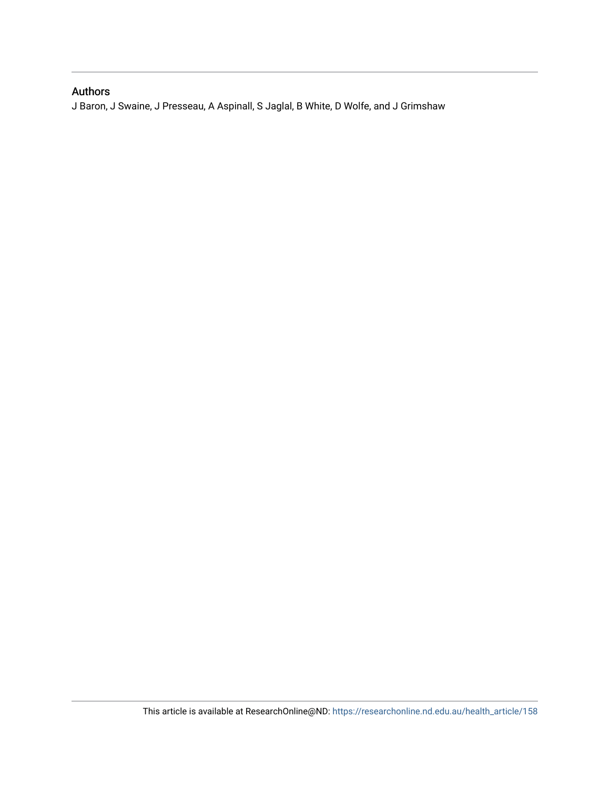# Authors

J Baron, J Swaine, J Presseau, A Aspinall, S Jaglal, B White, D Wolfe, and J Grimshaw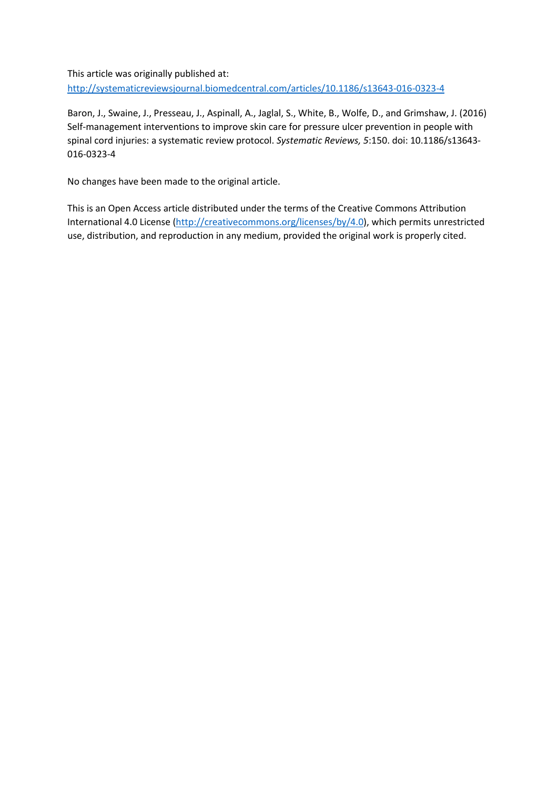This article was originally published at: <http://systematicreviewsjournal.biomedcentral.com/articles/10.1186/s13643-016-0323-4>

Baron, J., Swaine, J., Presseau, J., Aspinall, A., Jaglal, S., White, B., Wolfe, D., and Grimshaw, J. (2016) Self-management interventions to improve skin care for pressure ulcer prevention in people with spinal cord injuries: a systematic review protocol. *Systematic Reviews, 5*:150. doi: 10.1186/s13643- 016-0323-4

No changes have been made to the original article.

This is an Open Access article distributed under the terms of the Creative Commons Attribution International 4.0 License [\(http://creativecommons.org/licenses/by/4.0\)](http://creativecommons.org/licenses/by/4.0), which permits unrestricted use, distribution, and reproduction in any medium, provided the original work is properly cited.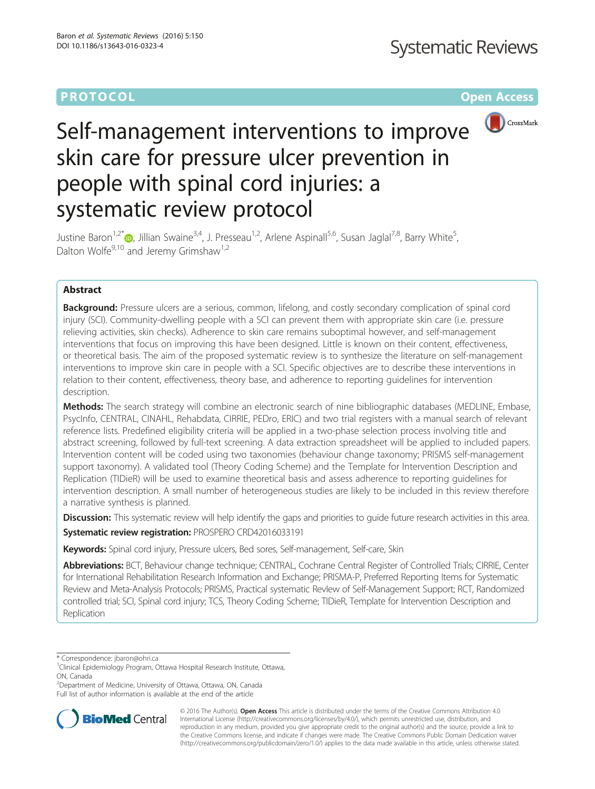# **PROTOCOL CONSUMING THE CONSUMING TEACHER CONSUMING THE CONSUMING TEACHER CONSUMING THE CONSUMING TEACHER CONSUMING**



# Self-management interventions to improve skin care for pressure ulcer prevention in people with spinal cord injuries: a systematic review protocol

Justine Baron<sup>1,2[\\*](http://orcid.org/0000-0003-2782-079X)</sup> , Jillian Swaine<sup>3,4</sup>, J. Presseau<sup>1,2</sup>, Arlene Aspinall<sup>5,6</sup>, Susan Jaglal<sup>7,8</sup>, Barry White<sup>5</sup>, , Dalton Wolfe<sup>9,10</sup> and Jeremy Grimshaw<sup>1,2</sup>

# Abstract

Background: Pressure ulcers are a serious, common, lifelong, and costly secondary complication of spinal cord injury (SCI). Community-dwelling people with a SCI can prevent them with appropriate skin care (i.e. pressure relieving activities, skin checks). Adherence to skin care remains suboptimal however, and self-management interventions that focus on improving this have been designed. Little is known on their content, effectiveness, or theoretical basis. The aim of the proposed systematic review is to synthesize the literature on self-management interventions to improve skin care in people with a SCI. Specific objectives are to describe these interventions in relation to their content, effectiveness, theory base, and adherence to reporting guidelines for intervention description.

Methods: The search strategy will combine an electronic search of nine bibliographic databases (MEDLINE, Embase, PsycInfo, CENTRAL, CINAHL, Rehabdata, CIRRIE, PEDro, ERIC) and two trial registers with a manual search of relevant reference lists. Predefined eligibility criteria will be applied in a two-phase selection process involving title and abstract screening, followed by full-text screening. A data extraction spreadsheet will be applied to included papers. Intervention content will be coded using two taxonomies (behaviour change taxonomy; PRISMS self-management support taxonomy). A validated tool (Theory Coding Scheme) and the Template for Intervention Description and Replication (TIDieR) will be used to examine theoretical basis and assess adherence to reporting guidelines for intervention description. A small number of heterogeneous studies are likely to be included in this review therefore a narrative synthesis is planned.

Discussion: This systematic review will help identify the gaps and priorities to quide future research activities in this area.

Systematic review registration: PROSPERO [CRD42016033191](http://www.crd.york.ac.uk/prospero/display_record.asp?src=trip&ID=CRD42016033191)

Keywords: Spinal cord injury, Pressure ulcers, Bed sores, Self-management, Self-care, Skin

Abbreviations: BCT, Behaviour change technique; CENTRAL, Cochrane Central Register of Controlled Trials; CIRRIE, Center for International Rehabilitation Research Information and Exchange; PRISMA-P, Preferred Reporting Items for Systematic Review and Meta-Analysis Protocols; PRISMS, Practical systematic Revlew of Self-Management Support; RCT, Randomized controlled trial; SCI, Spinal cord injury; TCS, Theory Coding Scheme; TIDieR, Template for Intervention Description and Replication

\* Correspondence: [jbaron@ohri.ca](mailto:jbaron@ohri.ca) <sup>1</sup>

<sup>2</sup>Department of Medicine, University of Ottawa, Ottawa, ON, Canada Full list of author information is available at the end of the article



© 2016 The Author(s). Open Access This article is distributed under the terms of the Creative Commons Attribution 4.0 International License [\(http://creativecommons.org/licenses/by/4.0/](http://creativecommons.org/licenses/by/4.0/)), which permits unrestricted use, distribution, and reproduction in any medium, provided you give appropriate credit to the original author(s) and the source, provide a link to the Creative Commons license, and indicate if changes were made. The Creative Commons Public Domain Dedication waiver [\(http://creativecommons.org/publicdomain/zero/1.0/](http://creativecommons.org/publicdomain/zero/1.0/)) applies to the data made available in this article, unless otherwise stated.

<sup>&</sup>lt;sup>1</sup>Clinical Epidemiology Program, Ottawa Hospital Research Institute, Ottawa, ON, Canada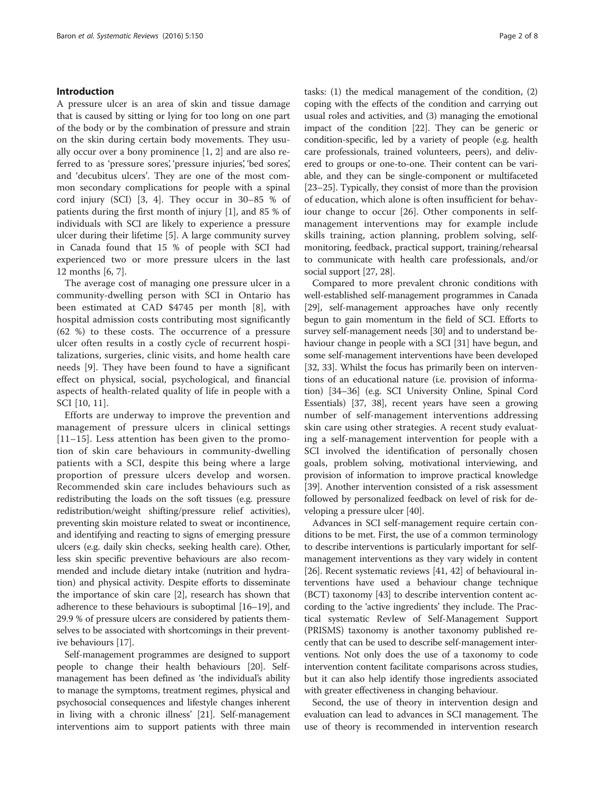### Introduction

A pressure ulcer is an area of skin and tissue damage that is caused by sitting or lying for too long on one part of the body or by the combination of pressure and strain on the skin during certain body movements. They usually occur over a bony prominence [\[1](#page-8-0), [2](#page-8-0)] and are also referred to as 'pressure sores', 'pressure injuries', 'bed sores', and 'decubitus ulcers'. They are one of the most common secondary complications for people with a spinal cord injury (SCI) [[3, 4\]](#page-8-0). They occur in 30–85 % of patients during the first month of injury [\[1](#page-8-0)], and 85 % of individuals with SCI are likely to experience a pressure ulcer during their lifetime [[5\]](#page-8-0). A large community survey in Canada found that 15 % of people with SCI had experienced two or more pressure ulcers in the last 12 months [[6](#page-8-0), [7](#page-8-0)].

The average cost of managing one pressure ulcer in a community-dwelling person with SCI in Ontario has been estimated at CAD \$4745 per month [[8\]](#page-8-0), with hospital admission costs contributing most significantly (62 %) to these costs. The occurrence of a pressure ulcer often results in a costly cycle of recurrent hospitalizations, surgeries, clinic visits, and home health care needs [[9\]](#page-9-0). They have been found to have a significant effect on physical, social, psychological, and financial aspects of health-related quality of life in people with a SCI [[10](#page-9-0), [11](#page-9-0)].

Efforts are underway to improve the prevention and management of pressure ulcers in clinical settings [[11](#page-9-0)–[15\]](#page-9-0). Less attention has been given to the promotion of skin care behaviours in community-dwelling patients with a SCI, despite this being where a large proportion of pressure ulcers develop and worsen. Recommended skin care includes behaviours such as redistributing the loads on the soft tissues (e.g. pressure redistribution/weight shifting/pressure relief activities), preventing skin moisture related to sweat or incontinence, and identifying and reacting to signs of emerging pressure ulcers (e.g. daily skin checks, seeking health care). Other, less skin specific preventive behaviours are also recommended and include dietary intake (nutrition and hydration) and physical activity. Despite efforts to disseminate the importance of skin care [\[2](#page-8-0)], research has shown that adherence to these behaviours is suboptimal [\[16](#page-9-0)–[19](#page-9-0)], and 29.9 % of pressure ulcers are considered by patients themselves to be associated with shortcomings in their preventive behaviours [\[17](#page-9-0)].

Self-management programmes are designed to support people to change their health behaviours [[20](#page-9-0)]. Selfmanagement has been defined as 'the individual's ability to manage the symptoms, treatment regimes, physical and psychosocial consequences and lifestyle changes inherent in living with a chronic illness' [\[21](#page-9-0)]. Self-management interventions aim to support patients with three main

tasks: (1) the medical management of the condition, (2) coping with the effects of the condition and carrying out usual roles and activities, and (3) managing the emotional impact of the condition [[22](#page-9-0)]. They can be generic or condition-specific, led by a variety of people (e.g. health care professionals, trained volunteers, peers), and delivered to groups or one-to-one. Their content can be variable, and they can be single-component or multifaceted [[23](#page-9-0)–[25\]](#page-9-0). Typically, they consist of more than the provision of education, which alone is often insufficient for behaviour change to occur [[26\]](#page-9-0). Other components in selfmanagement interventions may for example include skills training, action planning, problem solving, selfmonitoring, feedback, practical support, training/rehearsal to communicate with health care professionals, and/or social support [\[27, 28](#page-9-0)].

Compared to more prevalent chronic conditions with well-established self-management programmes in Canada [[29](#page-9-0)], self-management approaches have only recently begun to gain momentum in the field of SCI. Efforts to survey self-management needs [\[30](#page-9-0)] and to understand behaviour change in people with a SCI [\[31](#page-9-0)] have begun, and some self-management interventions have been developed [[32](#page-9-0), [33](#page-9-0)]. Whilst the focus has primarily been on interventions of an educational nature (i.e. provision of information) [\[34](#page-9-0)–[36](#page-9-0)] (e.g. SCI University Online, Spinal Cord Essentials) [\[37, 38\]](#page-9-0), recent years have seen a growing number of self-management interventions addressing skin care using other strategies. A recent study evaluating a self-management intervention for people with a SCI involved the identification of personally chosen goals, problem solving, motivational interviewing, and provision of information to improve practical knowledge [[39](#page-9-0)]. Another intervention consisted of a risk assessment followed by personalized feedback on level of risk for developing a pressure ulcer [[40\]](#page-9-0).

Advances in SCI self-management require certain conditions to be met. First, the use of a common terminology to describe interventions is particularly important for selfmanagement interventions as they vary widely in content [[26](#page-9-0)]. Recent systematic reviews [\[41, 42\]](#page-9-0) of behavioural interventions have used a behaviour change technique (BCT) taxonomy [\[43\]](#page-9-0) to describe intervention content according to the 'active ingredients' they include. The Practical systematic RevIew of Self-Management Support (PRISMS) taxonomy is another taxonomy published recently that can be used to describe self-management interventions. Not only does the use of a taxonomy to code intervention content facilitate comparisons across studies, but it can also help identify those ingredients associated with greater effectiveness in changing behaviour.

Second, the use of theory in intervention design and evaluation can lead to advances in SCI management. The use of theory is recommended in intervention research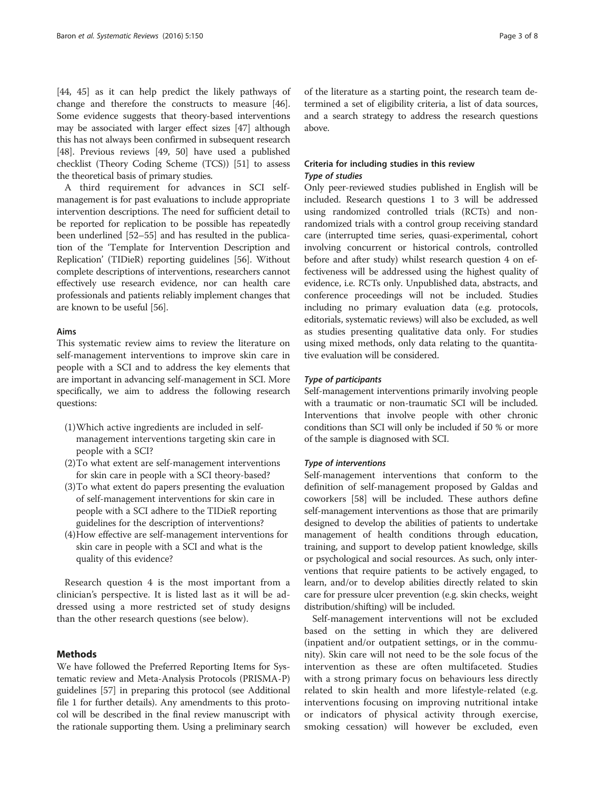<span id="page-5-0"></span>[[44](#page-9-0), [45\]](#page-9-0) as it can help predict the likely pathways of change and therefore the constructs to measure [[46](#page-9-0)]. Some evidence suggests that theory-based interventions may be associated with larger effect sizes [\[47\]](#page-9-0) although this has not always been confirmed in subsequent research [[48](#page-9-0)]. Previous reviews [\[49](#page-9-0), [50](#page-9-0)] have used a published checklist (Theory Coding Scheme (TCS)) [\[51\]](#page-9-0) to assess the theoretical basis of primary studies.

A third requirement for advances in SCI selfmanagement is for past evaluations to include appropriate intervention descriptions. The need for sufficient detail to be reported for replication to be possible has repeatedly been underlined [[52](#page-9-0)–[55](#page-10-0)] and has resulted in the publication of the 'Template for Intervention Description and Replication' (TIDieR) reporting guidelines [\[56\]](#page-10-0). Without complete descriptions of interventions, researchers cannot effectively use research evidence, nor can health care professionals and patients reliably implement changes that are known to be useful [[56](#page-10-0)].

## Aims

This systematic review aims to review the literature on self-management interventions to improve skin care in people with a SCI and to address the key elements that are important in advancing self-management in SCI. More specifically, we aim to address the following research questions:

- (1)Which active ingredients are included in selfmanagement interventions targeting skin care in people with a SCI?
- (2)To what extent are self-management interventions for skin care in people with a SCI theory-based?
- (3)To what extent do papers presenting the evaluation of self-management interventions for skin care in people with a SCI adhere to the TIDieR reporting guidelines for the description of interventions?
- (4)How effective are self-management interventions for skin care in people with a SCI and what is the quality of this evidence?

Research question 4 is the most important from a clinician's perspective. It is listed last as it will be addressed using a more restricted set of study designs than the other research questions (see below).

# Methods

We have followed the Preferred Reporting Items for Systematic review and Meta-Analysis Protocols (PRISMA-P) guidelines [\[57](#page-10-0)] in preparing this protocol (see Additional file [1](#page-8-0) for further details). Any amendments to this protocol will be described in the final review manuscript with the rationale supporting them. Using a preliminary search

of the literature as a starting point, the research team determined a set of eligibility criteria, a list of data sources, and a search strategy to address the research questions above.

# Criteria for including studies in this review Type of studies

Only peer-reviewed studies published in English will be included. Research questions 1 to 3 will be addressed using randomized controlled trials (RCTs) and nonrandomized trials with a control group receiving standard care (interrupted time series, quasi-experimental, cohort involving concurrent or historical controls, controlled before and after study) whilst research question 4 on effectiveness will be addressed using the highest quality of evidence, i.e. RCTs only. Unpublished data, abstracts, and conference proceedings will not be included. Studies including no primary evaluation data (e.g. protocols, editorials, systematic reviews) will also be excluded, as well as studies presenting qualitative data only. For studies using mixed methods, only data relating to the quantitative evaluation will be considered.

## Type of participants

Self-management interventions primarily involving people with a traumatic or non-traumatic SCI will be included. Interventions that involve people with other chronic conditions than SCI will only be included if 50 % or more of the sample is diagnosed with SCI.

### Type of interventions

Self-management interventions that conform to the definition of self-management proposed by Galdas and coworkers [[58\]](#page-10-0) will be included. These authors define self-management interventions as those that are primarily designed to develop the abilities of patients to undertake management of health conditions through education, training, and support to develop patient knowledge, skills or psychological and social resources. As such, only interventions that require patients to be actively engaged, to learn, and/or to develop abilities directly related to skin care for pressure ulcer prevention (e.g. skin checks, weight distribution/shifting) will be included.

Self-management interventions will not be excluded based on the setting in which they are delivered (inpatient and/or outpatient settings, or in the community). Skin care will not need to be the sole focus of the intervention as these are often multifaceted. Studies with a strong primary focus on behaviours less directly related to skin health and more lifestyle-related (e.g. interventions focusing on improving nutritional intake or indicators of physical activity through exercise, smoking cessation) will however be excluded, even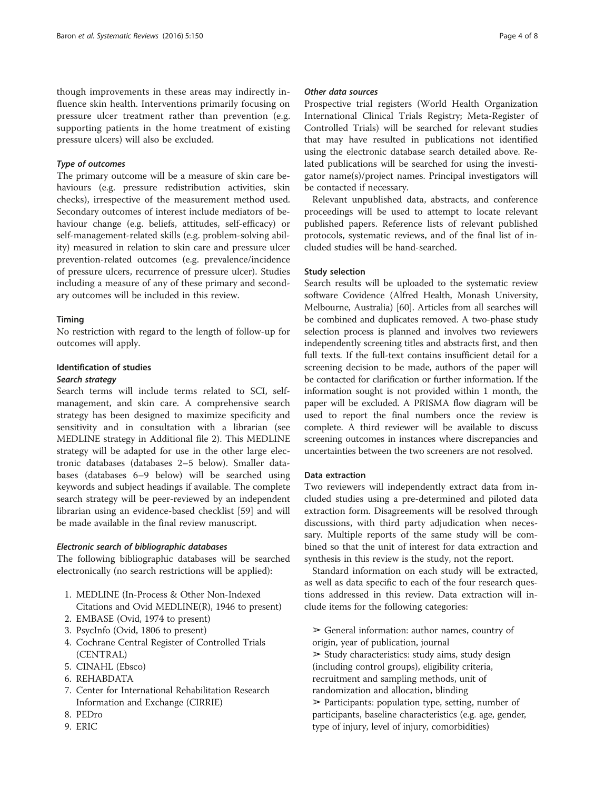though improvements in these areas may indirectly influence skin health. Interventions primarily focusing on pressure ulcer treatment rather than prevention (e.g. supporting patients in the home treatment of existing pressure ulcers) will also be excluded.

## Type of outcomes

The primary outcome will be a measure of skin care behaviours (e.g. pressure redistribution activities, skin checks), irrespective of the measurement method used. Secondary outcomes of interest include mediators of behaviour change (e.g. beliefs, attitudes, self-efficacy) or self-management-related skills (e.g. problem-solving ability) measured in relation to skin care and pressure ulcer prevention-related outcomes (e.g. prevalence/incidence of pressure ulcers, recurrence of pressure ulcer). Studies including a measure of any of these primary and secondary outcomes will be included in this review.

### Timing

No restriction with regard to the length of follow-up for outcomes will apply.

### Identification of studies

#### Search strategy

Search terms will include terms related to SCI, selfmanagement, and skin care. A comprehensive search strategy has been designed to maximize specificity and sensitivity and in consultation with a librarian (see MEDLINE strategy in Additional file [2\)](#page-8-0). This MEDLINE strategy will be adapted for use in the other large electronic databases (databases 2–5 below). Smaller databases (databases 6–9 below) will be searched using keywords and subject headings if available. The complete search strategy will be peer-reviewed by an independent librarian using an evidence-based checklist [[59\]](#page-10-0) and will be made available in the final review manuscript.

### Electronic search of bibliographic databases

The following bibliographic databases will be searched electronically (no search restrictions will be applied):

- 1. MEDLINE (In-Process & Other Non-Indexed Citations and Ovid MEDLINE(R), 1946 to present)
- 2. EMBASE (Ovid, 1974 to present)
- 3. PsycInfo (Ovid, 1806 to present)
- 4. Cochrane Central Register of Controlled Trials (CENTRAL)
- 5. CINAHL (Ebsco)
- 6. REHABDATA
- 7. Center for International Rehabilitation Research Information and Exchange (CIRRIE)
- 8. PEDro
- 9. ERIC

### Other data sources

Prospective trial registers (World Health Organization International Clinical Trials Registry; Meta-Register of Controlled Trials) will be searched for relevant studies that may have resulted in publications not identified using the electronic database search detailed above. Related publications will be searched for using the investigator name(s)/project names. Principal investigators will be contacted if necessary.

Relevant unpublished data, abstracts, and conference proceedings will be used to attempt to locate relevant published papers. Reference lists of relevant published protocols, systematic reviews, and of the final list of included studies will be hand-searched.

## Study selection

Search results will be uploaded to the systematic review software Covidence (Alfred Health, Monash University, Melbourne, Australia) [\[60\]](#page-10-0). Articles from all searches will be combined and duplicates removed. A two-phase study selection process is planned and involves two reviewers independently screening titles and abstracts first, and then full texts. If the full-text contains insufficient detail for a screening decision to be made, authors of the paper will be contacted for clarification or further information. If the information sought is not provided within 1 month, the paper will be excluded. A PRISMA flow diagram will be used to report the final numbers once the review is complete. A third reviewer will be available to discuss screening outcomes in instances where discrepancies and uncertainties between the two screeners are not resolved.

### Data extraction

Two reviewers will independently extract data from included studies using a pre-determined and piloted data extraction form. Disagreements will be resolved through discussions, with third party adjudication when necessary. Multiple reports of the same study will be combined so that the unit of interest for data extraction and synthesis in this review is the study, not the report.

Standard information on each study will be extracted, as well as data specific to each of the four research questions addressed in this review. Data extraction will include items for the following categories:

 $\triangleright$  General information: author names, country of origin, year of publication, journal  $\geq$  Study characteristics: study aims, study design (including control groups), eligibility criteria, recruitment and sampling methods, unit of randomization and allocation, blinding ➢ Participants: population type, setting, number of participants, baseline characteristics (e.g. age, gender, type of injury, level of injury, comorbidities)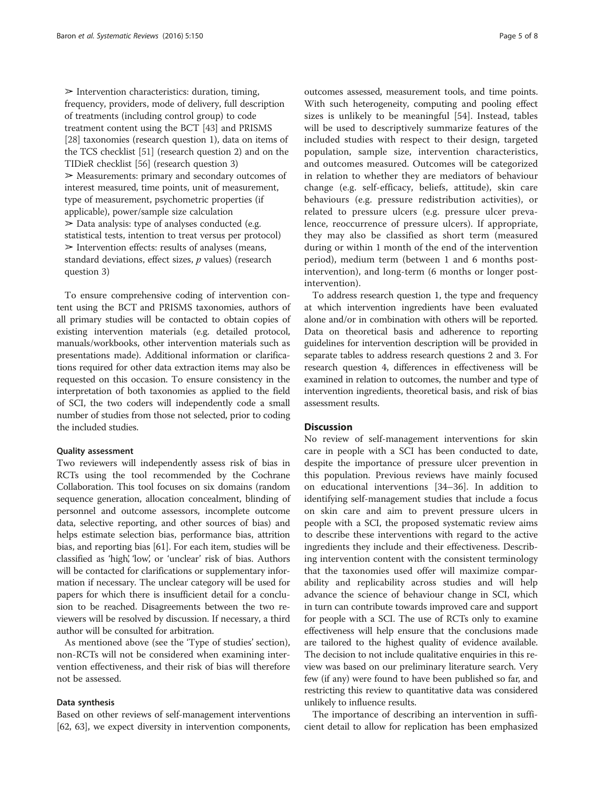$\triangleright$  Intervention characteristics: duration, timing, frequency, providers, mode of delivery, full description of treatments (including control group) to code treatment content using the BCT [[43](#page-9-0)] and PRISMS [[28](#page-9-0)] taxonomies (research question 1), data on items of the TCS checklist [[51](#page-9-0)] (research question 2) and on the TIDieR checklist [\[56\]](#page-10-0) (research question 3) ➢ Measurements: primary and secondary outcomes of interest measured, time points, unit of measurement, type of measurement, psychometric properties (if applicable), power/sample size calculation  $\geq$  Data analysis: type of analyses conducted (e.g. statistical tests, intention to treat versus per protocol)  $\triangleright$  Intervention effects: results of analyses (means, standard deviations, effect sizes,  $p$  values) (research question 3)

To ensure comprehensive coding of intervention content using the BCT and PRISMS taxonomies, authors of all primary studies will be contacted to obtain copies of existing intervention materials (e.g. detailed protocol, manuals/workbooks, other intervention materials such as presentations made). Additional information or clarifications required for other data extraction items may also be requested on this occasion. To ensure consistency in the interpretation of both taxonomies as applied to the field of SCI, the two coders will independently code a small number of studies from those not selected, prior to coding the included studies.

#### Quality assessment

Two reviewers will independently assess risk of bias in RCTs using the tool recommended by the Cochrane Collaboration. This tool focuses on six domains (random sequence generation, allocation concealment, blinding of personnel and outcome assessors, incomplete outcome data, selective reporting, and other sources of bias) and helps estimate selection bias, performance bias, attrition bias, and reporting bias [\[61\]](#page-10-0). For each item, studies will be classified as 'high', 'low', or 'unclear' risk of bias. Authors will be contacted for clarifications or supplementary information if necessary. The unclear category will be used for papers for which there is insufficient detail for a conclusion to be reached. Disagreements between the two reviewers will be resolved by discussion. If necessary, a third author will be consulted for arbitration.

As mentioned above (see the '[Type of studies](#page-5-0)' section), non-RCTs will not be considered when examining intervention effectiveness, and their risk of bias will therefore not be assessed.

#### Data synthesis

Based on other reviews of self-management interventions [[62](#page-10-0), [63\]](#page-10-0), we expect diversity in intervention components,

outcomes assessed, measurement tools, and time points. With such heterogeneity, computing and pooling effect sizes is unlikely to be meaningful [[54\]](#page-9-0). Instead, tables will be used to descriptively summarize features of the included studies with respect to their design, targeted population, sample size, intervention characteristics, and outcomes measured. Outcomes will be categorized in relation to whether they are mediators of behaviour change (e.g. self-efficacy, beliefs, attitude), skin care behaviours (e.g. pressure redistribution activities), or related to pressure ulcers (e.g. pressure ulcer prevalence, reoccurrence of pressure ulcers). If appropriate, they may also be classified as short term (measured during or within 1 month of the end of the intervention period), medium term (between 1 and 6 months postintervention), and long-term (6 months or longer postintervention).

To address research question 1, the type and frequency at which intervention ingredients have been evaluated alone and/or in combination with others will be reported. Data on theoretical basis and adherence to reporting guidelines for intervention description will be provided in separate tables to address research questions 2 and 3. For research question 4, differences in effectiveness will be examined in relation to outcomes, the number and type of intervention ingredients, theoretical basis, and risk of bias assessment results.

### **Discussion**

No review of self-management interventions for skin care in people with a SCI has been conducted to date, despite the importance of pressure ulcer prevention in this population. Previous reviews have mainly focused on educational interventions [\[34](#page-9-0)–[36\]](#page-9-0). In addition to identifying self-management studies that include a focus on skin care and aim to prevent pressure ulcers in people with a SCI, the proposed systematic review aims to describe these interventions with regard to the active ingredients they include and their effectiveness. Describing intervention content with the consistent terminology that the taxonomies used offer will maximize comparability and replicability across studies and will help advance the science of behaviour change in SCI, which in turn can contribute towards improved care and support for people with a SCI. The use of RCTs only to examine effectiveness will help ensure that the conclusions made are tailored to the highest quality of evidence available. The decision to not include qualitative enquiries in this review was based on our preliminary literature search. Very few (if any) were found to have been published so far, and restricting this review to quantitative data was considered unlikely to influence results.

The importance of describing an intervention in sufficient detail to allow for replication has been emphasized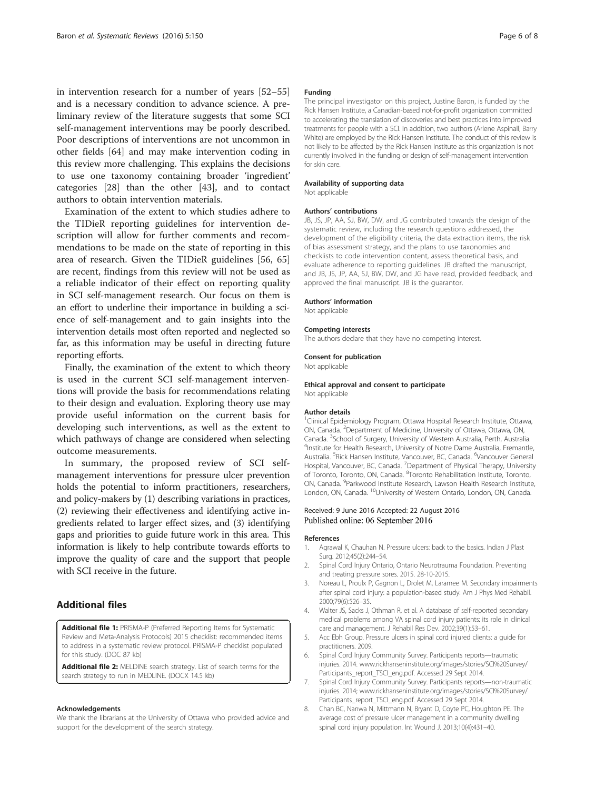<span id="page-8-0"></span>in intervention research for a number of years [[52](#page-9-0)–[55](#page-10-0)] and is a necessary condition to advance science. A preliminary review of the literature suggests that some SCI self-management interventions may be poorly described. Poor descriptions of interventions are not uncommon in other fields [[64\]](#page-10-0) and may make intervention coding in this review more challenging. This explains the decisions to use one taxonomy containing broader 'ingredient' categories [\[28\]](#page-9-0) than the other [\[43](#page-9-0)], and to contact authors to obtain intervention materials.

Examination of the extent to which studies adhere to the TIDieR reporting guidelines for intervention description will allow for further comments and recommendations to be made on the state of reporting in this area of research. Given the TIDieR guidelines [[56, 65](#page-10-0)] are recent, findings from this review will not be used as a reliable indicator of their effect on reporting quality in SCI self-management research. Our focus on them is an effort to underline their importance in building a science of self-management and to gain insights into the intervention details most often reported and neglected so far, as this information may be useful in directing future reporting efforts.

Finally, the examination of the extent to which theory is used in the current SCI self-management interventions will provide the basis for recommendations relating to their design and evaluation. Exploring theory use may provide useful information on the current basis for developing such interventions, as well as the extent to which pathways of change are considered when selecting outcome measurements.

In summary, the proposed review of SCI selfmanagement interventions for pressure ulcer prevention holds the potential to inform practitioners, researchers, and policy-makers by (1) describing variations in practices, (2) reviewing their effectiveness and identifying active ingredients related to larger effect sizes, and (3) identifying gaps and priorities to guide future work in this area. This information is likely to help contribute towards efforts to improve the quality of care and the support that people with SCI receive in the future.

### Additional files

[Additional file 1:](dx.doi.org/10.1186/s13643-016-0323-4) PRISMA-P (Preferred Reporting Items for Systematic Review and Meta-Analysis Protocols) 2015 checklist: recommended items to address in a systematic review protocol. PRISMA-P checklist populated for this study. (DOC 87 kb)

[Additional file 2:](dx.doi.org/10.1186/s13643-016-0323-4) MELDINE search strategy. List of search terms for the search strategy to run in MEDLINE. (DOCX 14.5 kb)

#### Acknowledgements

We thank the librarians at the University of Ottawa who provided advice and support for the development of the search strategy.

#### Funding

The principal investigator on this project, Justine Baron, is funded by the Rick Hansen Institute, a Canadian-based not-for-profit organization committed to accelerating the translation of discoveries and best practices into improved treatments for people with a SCI. In addition, two authors (Arlene Aspinall, Barry White) are employed by the Rick Hansen Institute. The conduct of this review is not likely to be affected by the Rick Hansen Institute as this organization is not currently involved in the funding or design of self-management intervention for skin care.

#### Availability of supporting data Not applicable

#### Authors' contributions

JB, JS, JP, AA, SJ, BW, DW, and JG contributed towards the design of the systematic review, including the research questions addressed, the development of the eligibility criteria, the data extraction items, the risk of bias assessment strategy, and the plans to use taxonomies and checklists to code intervention content, assess theoretical basis, and evaluate adherence to reporting guidelines. JB drafted the manuscript, and JB, JS, JP, AA, SJ, BW, DW, and JG have read, provided feedback, and approved the final manuscript. JB is the guarantor.

#### Authors' information

Not applicable

#### Competing interests

The authors declare that they have no competing interest.

#### Consent for publication

Not applicable

#### Ethical approval and consent to participate

Not applicable

#### Author details

<sup>1</sup>Clinical Epidemiology Program, Ottawa Hospital Research Institute, Ottawa, ON, Canada. <sup>2</sup>Department of Medicine, University of Ottawa, Ottawa, ON, Canada. <sup>3</sup> School of Surgery, University of Western Australia, Perth, Australia. <sup>4</sup> <sup>4</sup>Institute for Health Research, University of Notre Dame Australia, Fremantle, Australia. <sup>5</sup>Rick Hansen Institute, Vancouver, BC, Canada. <sup>6</sup>Vancouver General Hospital, Vancouver, BC, Canada. <sup>7</sup>Department of Physical Therapy, University of Toronto, Toronto, ON, Canada. <sup>8</sup>Toronto Rehabilitation Institute, Toronto ON, Canada. <sup>9</sup>Parkwood Institute Research, Lawson Health Research Institute, London, ON, Canada. <sup>10</sup>University of Western Ontario, London, ON, Canada.

#### Received: 9 June 2016 Accepted: 22 August 2016 Published online: 06 September 2016

#### References

- 1. Agrawal K, Chauhan N. Pressure ulcers: back to the basics. Indian J Plast Surg. 2012;45(2):244–54.
- 2. Spinal Cord Injury Ontario, Ontario Neurotrauma Foundation. Preventing and treating pressure sores. 2015. 28-10-2015.
- 3. Noreau L, Proulx P, Gagnon L, Drolet M, Laramee M. Secondary impairments after spinal cord injury: a population-based study. Am J Phys Med Rehabil. 2000;79(6):526–35.
- 4. Walter JS, Sacks J, Othman R, et al. A database of self-reported secondary medical problems among VA spinal cord injury patients: its role in clinical care and management. J Rehabil Res Dev. 2002;39(1):53–61.
- 5. Acc Ebh Group. Pressure ulcers in spinal cord injured clients: a guide for practitioners. 2009.
- 6. Spinal Cord Injury Community Survey. Participants reports—traumatic injuries. 2014. [www.rickhanseninstitute.org/images/stories/SCI%20Survey/](http://www.rickhanseninstitute.org/images/stories/SCI%20Survey/Participants_report_TSCI_eng.pdf) [Participants\\_report\\_TSCI\\_eng.pdf](http://www.rickhanseninstitute.org/images/stories/SCI%20Survey/Participants_report_TSCI_eng.pdf). Accessed 29 Sept 2014.
- 7. Spinal Cord Injury Community Survey. Participants reports—non-traumatic injuries. 2014; [www.rickhanseninstitute.org/images/stories/SCI%20Survey/](http://www.rickhanseninstitute.org/images/stories/SCI%20Survey/Participants_report_TSCI_eng.pdf) [Participants\\_report\\_TSCI\\_eng.pdf](http://www.rickhanseninstitute.org/images/stories/SCI%20Survey/Participants_report_TSCI_eng.pdf). Accessed 29 Sept 2014.
- 8. Chan BC, Nanwa N, Mittmann N, Bryant D, Coyte PC, Houghton PE. The average cost of pressure ulcer management in a community dwelling spinal cord injury population. Int Wound J. 2013;10(4):431–40.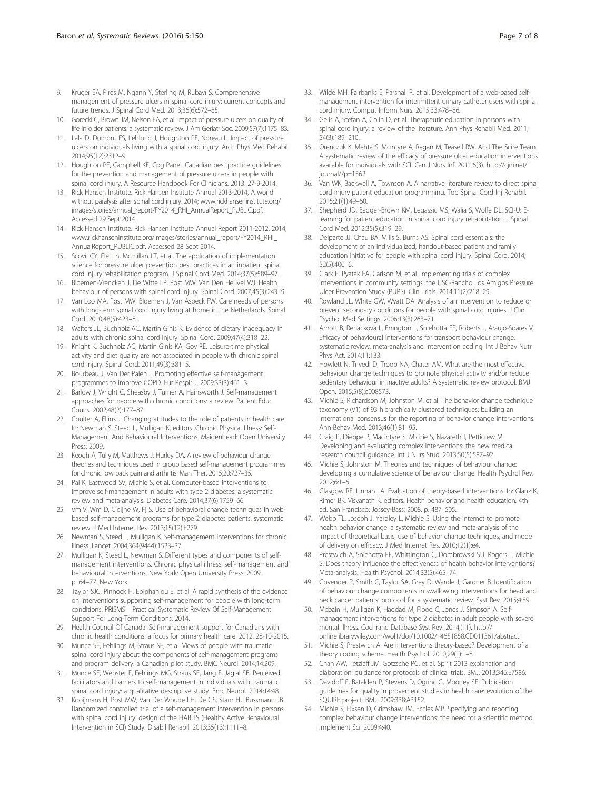- <span id="page-9-0"></span>9. Kruger EA, Pires M, Ngann Y, Sterling M, Rubayi S. Comprehensive management of pressure ulcers in spinal cord injury: current concepts and future trends. J Spinal Cord Med. 2013;36(6):572–85.
- 10. Gorecki C, Brown JM, Nelson EA, et al. Impact of pressure ulcers on quality of life in older patients: a systematic review. J Am Geriatr Soc. 2009;57(7):1175–83.
- 11. Lala D, Dumont FS, Leblond J, Houghton PE, Noreau L. Impact of pressure ulcers on individuals living with a spinal cord injury. Arch Phys Med Rehabil. 2014;95(12):2312–9.
- 12. Houghton PE, Campbell KE, Cpg Panel. Canadian best practice guidelines for the prevention and management of pressure ulcers in people with spinal cord injury. A Resource Handbook For Clinicians. 2013. 27-9-2014.
- 13. Rick Hansen Institute. Rick Hansen Institute Annual 2013-2014, A world without paralysis after spinal cord injury. 2014; [www.rickhanseninstitute.org/](http://www.rickhanseninstitute.org/images/stories/annual_report/FY2014_RHI_AnnualReport_PUBLIC.pdf) [images/stories/annual\\_report/FY2014\\_RHI\\_AnnualReport\\_PUBLIC.pdf](http://www.rickhanseninstitute.org/images/stories/annual_report/FY2014_RHI_AnnualReport_PUBLIC.pdf). Accessed 29 Sept 2014.
- 14. Rick Hansen Institute. Rick Hansen Institute Annual Report 2011-2012. 2014; [www.rickhanseninstitute.org/images/stories/annual\\_report/FY2014\\_RHI\\_](http://www.rickhanseninstitute.org/images/stories/annual_report/FY2014_RHI_AnnualReport_PUBLIC.pdf) [AnnualReport\\_PUBLIC.pdf](http://www.rickhanseninstitute.org/images/stories/annual_report/FY2014_RHI_AnnualReport_PUBLIC.pdf). Accessed 28 Sept 2014.
- 15. Scovil CY, Flett h, Mcmillan LT, et al. The application of implementation science for pressure ulcer prevention best practices in an inpatient spinal cord injury rehabilitation program. J Spinal Cord Med. 2014;37(5):589–97.
- 16. Bloemen-Vrencken J, De Witte LP, Post MW, Van Den Heuvel WJ. Health behaviour of persons with spinal cord injury. Spinal Cord. 2007;45(3):243–9.
- 17. Van Loo MA, Post MW, Bloemen J, Van Asbeck FW. Care needs of persons with long-term spinal cord injury living at home in the Netherlands. Spinal Cord. 2010;48(5):423–8.
- 18. Walters JL, Buchholz AC, Martin Ginis K. Evidence of dietary inadequacy in adults with chronic spinal cord injury. Spinal Cord. 2009;47(4):318–22.
- 19. Knight K, Buchholz AC, Martin Ginis KA, Goy RE. Leisure-time physical activity and diet quality are not associated in people with chronic spinal cord injury. Spinal Cord. 2011;49(3):381–5.
- 20. Bourbeau J, Van Der Palen J. Promoting effective self-management programmes to improve COPD. Eur Respir J. 2009;33(3):461–3.
- 21. Barlow J, Wright C, Sheasby J, Turner A, Hainsworth J. Self-management approaches for people with chronic conditions: a review. Patient Educ Couns. 2002;48(2):177–87.
- 22. Coulter A, Ellins J. Changing attitudes to the role of patients in health care. In: Newman S, Steed L, Mulligan K, editors. Chronic Physical Illness: Self-Management And Behavioural Interventions. Maidenhead: Open University Press; 2009.
- 23. Keogh A, Tully M, Matthews J, Hurley DA. A review of behaviour change theories and techniques used in group based self-management programmes for chronic low back pain and arthritis. Man Ther. 2015;20:727–35.
- 24. Pal K, Eastwood SV, Michie S, et al. Computer-based interventions to improve self-management in adults with type 2 diabetes: a systematic review and meta-analysis. Diabetes Care. 2014;37(6):1759–66.
- 25. Vm V, Wm D, Cleijne W, Fj S. Use of behavioral change techniques in webbased self-management programs for type 2 diabetes patients: systematic review. J Med Internet Res. 2013;15(12):E279.
- 26. Newman S, Steed L, Mulligan K. Self-management interventions for chronic illness. Lancet. 2004;364(9444):1523–37.
- 27. Mulligan K, Steed L, Newman S. Different types and components of selfmanagement interventions. Chronic physical illness: self-management and behavioural interventions. New York: Open University Press; 2009. p. 64–77. New York.
- 28. Taylor SJC, Pinnock H, Epiphaniou E, et al. A rapid synthesis of the evidence on interventions supporting self-management for people with long-term conditions: PRISMS—Practical Systematic Review Of Self-Management Support For Long-Term Conditions. 2014.
- 29. Health Council Of Canada. Self-management support for Canadians with chronic health conditions: a focus for primary health care. 2012. 28-10-2015.
- 30. Munce SE, Fehlings M, Straus SE, et al. Views of people with traumatic spinal cord injury about the components of self-management programs and program delivery: a Canadian pilot study. BMC Neurol. 2014;14:209.
- 31. Munce SE, Webster F, Fehlings MG, Straus SE, Jang E, Jaglal SB. Perceived facilitators and barriers to self-management in individuals with traumatic spinal cord injury: a qualitative descriptive study. Bmc Neurol. 2014;14:48.
- 32. Kooijmans H, Post MW, Van Der Woude LH, De GS, Stam HJ, Bussmann JB. Randomized controlled trial of a self-management intervention in persons with spinal cord injury: design of the HABITS (Healthy Active Behavioural Intervention in SCI) Study. Disabil Rehabil. 2013;35(13):1111–8.
- 33. Wilde MH, Fairbanks E, Parshall R, et al. Development of a web-based selfmanagement intervention for intermittent urinary catheter users with spinal cord injury. Comput Inform Nurs. 2015;33:478–86.
- 34. Gelis A, Stefan A, Colin D, et al. Therapeutic education in persons with spinal cord injury: a review of the literature. Ann Phys Rehabil Med. 2011; 54(3):189–210.
- 35. Orenczuk K, Mehta S, Mcintyre A, Regan M, Teasell RW, And The Scire Team. A systematic review of the efficacy of pressure ulcer education interventions available for individuals with SCI. Can J Nurs Inf. 2011;6(3). [http://cjni.net/](http://cjni.net/journal/?p=1562) [journal/?p=1562](http://cjni.net/journal/?p=1562).
- 36. Van WK, Backwell A, Townson A. A narrative literature review to direct spinal cord injury patient education programming. Top Spinal Cord Inj Rehabil. 2015;21(1):49–60.
- 37. Shepherd JD, Badger-Brown KM, Legassic MS, Walia S, Wolfe DL. SCI-U: Elearning for patient education in spinal cord injury rehabilitation. J Spinal Cord Med. 2012;35(5):319–29.
- 38. Delparte JJ, Chau BA, Mills S, Burns AS. Spinal cord essentials: the development of an individualized, handout-based patient and family education initiative for people with spinal cord injury. Spinal Cord. 2014; 52(5):400–6.
- 39. Clark F, Pyatak EA, Carlson M, et al. Implementing trials of complex interventions in community settings: the USC-Rancho Los Amigos Pressure Ulcer Prevention Study (PUPS). Clin Trials. 2014;11(2):218–29.
- 40. Rowland JL, White GW, Wyatt DA. Analysis of an intervention to reduce or prevent secondary conditions for people with spinal cord injuries. J Clin Psychol Med Settings. 2006;13(3):263–71.
- 41. Arnott B, Rehackova L, Errington L, Sniehotta FF, Roberts J, Araujo-Soares V. Efficacy of behavioural interventions for transport behaviour change: systematic review, meta-analysis and intervention coding. Int J Behav Nutr Phys Act. 2014;11:133.
- 42. Howlett N, Trivedi D, Troop NA, Chater AM. What are the most effective behaviour change techniques to promote physical activity and/or reduce sedentary behaviour in inactive adults? A systematic review protocol. BMJ Open. 2015;5(8):e008573.
- 43. Michie S, Richardson M, Johnston M, et al. The behavior change technique taxonomy (V1) of 93 hierarchically clustered techniques: building an international consensus for the reporting of behavior change interventions. Ann Behav Med. 2013;46(1):81–95.
- 44. Craig P, Dieppe P, Macintyre S, Michie S, Nazareth I, Petticrew M. Developing and evaluating complex interventions: the new medical research council guidance. Int J Nurs Stud. 2013;50(5):587–92.
- 45. Michie S, Johnston M. Theories and techniques of behaviour change: developing a cumulative science of behaviour change. Health Psychol Rev. 2012;6:1–6.
- 46. Glasgow RE, Linnan LA. Evaluation of theory-based interventions. In: Glanz K, Rimer BK, Visvanath K, editors. Health behavior and health education. 4th ed. San Francisco: Jossey-Bass; 2008. p. 487–505.
- 47. Webb TL, Joseph J, Yardley L, Michie S. Using the internet to promote health behavior change: a systematic review and meta-analysis of the impact of theoretical basis, use of behavior change techniques, and mode of delivery on efficacy. J Med Internet Res. 2010;12(1):e4.
- 48. Prestwich A, Sniehotta FF, Whittington C, Dombrowski SU, Rogers L, Michie S. Does theory influence the effectiveness of health behavior interventions? Meta-analysis. Health Psychol. 2014;33(5):465–74.
- 49. Govender R, Smith C, Taylor SA, Grey D, Wardle J, Gardner B. Identification of behaviour change components in swallowing interventions for head and neck cancer patients: protocol for a systematic review. Syst Rev. 2015;4:89.
- 50. Mcbain H, Mulligan K, Haddad M, Flood C, Jones J, Simpson A. Selfmanagement interventions for type 2 diabetes in adult people with severe mental illness. Cochrane Database Syst Rev. 2014;(11). [http://](http://onlinelibrarywiley.com/wol1/doi/10.1002/14651858.CD011361/abstract) [onlinelibrarywiley.com/wol1/doi/10.1002/14651858.CD011361/abstract.](http://onlinelibrarywiley.com/wol1/doi/10.1002/14651858.CD011361/abstract)
- 51. Michie S, Prestwich A. Are interventions theory-based? Development of a theory coding scheme. Health Psychol. 2010;29(1):1–8.
- 52. Chan AW, Tetzlaff JM, Gotzsche PC, et al. Spirit 2013 explanation and elaboration: guidance for protocols of clinical trials. BMJ. 2013;346:E7586.
- 53. Davidoff F, Batalden P, Stevens D, Ogrinc G, Mooney SE. Publication guidelines for quality improvement studies in health care: evolution of the SQUIRE project. BMJ. 2009;338:A3152.
- 54. Michie S, Fixsen D, Grimshaw JM, Eccles MP. Specifying and reporting complex behaviour change interventions: the need for a scientific method. Implement Sci. 2009;4:40.